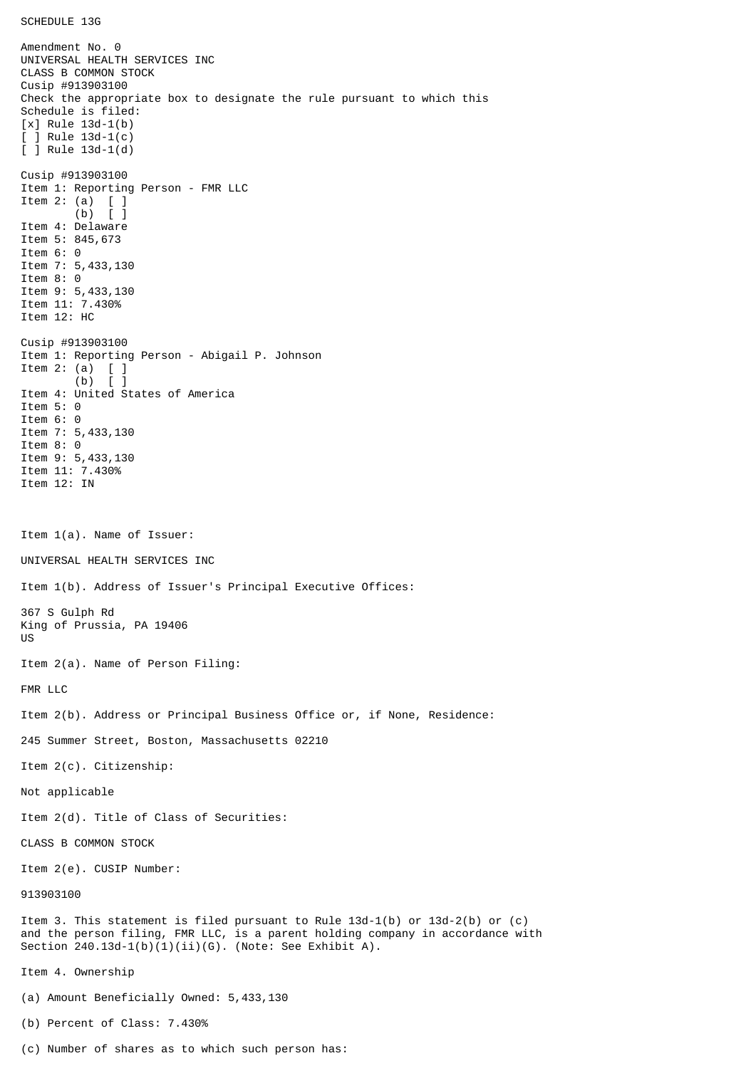SCHEDULE 13G

Amendment No. 0 UNIVERSAL HEALTH SERVICES INC CLASS B COMMON STOCK Cusip #913903100 Check the appropriate box to designate the rule pursuant to which this Schedule is filed: [x] Rule 13d-1(b) [ ] Rule 13d-1(c) [ ] Rule 13d-1(d) Cusip #913903100 Item 1: Reporting Person - FMR LLC Item 2: (a) [ ] (b) [ ] Item 4: Delaware Item 5: 845,673 Item 6: 0 Item 7: 5,433,130 Item 8: 0 Item 9: 5,433,130 Item 11: 7.430% Item 12: HC Cusip #913903100 Item 1: Reporting Person - Abigail P. Johnson Item 2: (a)  $[$  ]<br>(b)  $[$  ]  $(b)$ Item 4: United States of America Item 5: 0 Item 6: 0 Item 7: 5,433,130 Item 8: 0 Item 9: 5,433,130 Item 11: 7.430% Item 12: IN Item 1(a). Name of Issuer: UNIVERSAL HEALTH SERVICES INC Item 1(b). Address of Issuer's Principal Executive Offices: 367 S Gulph Rd King of Prussia, PA 19406 US Item 2(a). Name of Person Filing: FMR LLC Item 2(b). Address or Principal Business Office or, if None, Residence: 245 Summer Street, Boston, Massachusetts 02210 Item 2(c). Citizenship: Not applicable Item 2(d). Title of Class of Securities: CLASS B COMMON STOCK Item 2(e). CUSIP Number: 913903100 Item 3. This statement is filed pursuant to Rule 13d-1(b) or 13d-2(b) or (c) and the person filing, FMR LLC, is a parent holding company in accordance with Section 240.13d-1(b)(1)(ii)(G). (Note: See Exhibit A). Item 4. Ownership (a) Amount Beneficially Owned: 5,433,130 (b) Percent of Class: 7.430%

(c) Number of shares as to which such person has: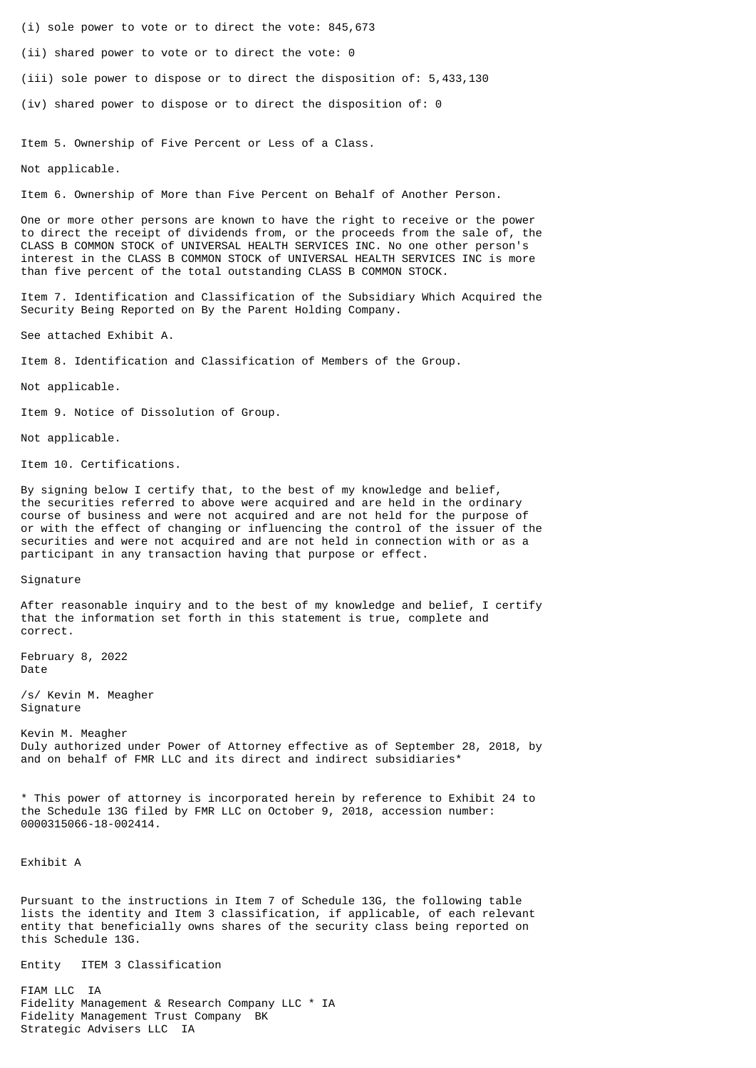- (i) sole power to vote or to direct the vote: 845,673
- (ii) shared power to vote or to direct the vote: 0
- (iii) sole power to dispose or to direct the disposition of: 5,433,130
- (iv) shared power to dispose or to direct the disposition of: 0

Item 5. Ownership of Five Percent or Less of a Class.

Not applicable.

Item 6. Ownership of More than Five Percent on Behalf of Another Person.

One or more other persons are known to have the right to receive or the power to direct the receipt of dividends from, or the proceeds from the sale of, the CLASS B COMMON STOCK of UNIVERSAL HEALTH SERVICES INC. No one other person's interest in the CLASS B COMMON STOCK of UNIVERSAL HEALTH SERVICES INC is more than five percent of the total outstanding CLASS B COMMON STOCK.

Item 7. Identification and Classification of the Subsidiary Which Acquired the Security Being Reported on By the Parent Holding Company.

See attached Exhibit A.

Item 8. Identification and Classification of Members of the Group.

Not applicable.

Item 9. Notice of Dissolution of Group.

Not applicable.

Item 10. Certifications.

By signing below I certify that, to the best of my knowledge and belief, the securities referred to above were acquired and are held in the ordinary course of business and were not acquired and are not held for the purpose of or with the effect of changing or influencing the control of the issuer of the securities and were not acquired and are not held in connection with or as a participant in any transaction having that purpose or effect.

Signature

After reasonable inquiry and to the best of my knowledge and belief, I certify that the information set forth in this statement is true, complete and correct.

February 8, 2022 Date

/s/ Kevin M. Meagher Signature

Kevin M. Meagher Duly authorized under Power of Attorney effective as of September 28, 2018, by and on behalf of FMR LLC and its direct and indirect subsidiaries\*

\* This power of attorney is incorporated herein by reference to Exhibit 24 to the Schedule 13G filed by FMR LLC on October 9, 2018, accession number: 0000315066-18-002414.

Exhibit A

Pursuant to the instructions in Item 7 of Schedule 13G, the following table lists the identity and Item 3 classification, if applicable, of each relevant entity that beneficially owns shares of the security class being reported on this Schedule 13G.

Entity ITEM 3 Classification

FIAM LLC IA Fidelity Management & Research Company LLC \* IA Fidelity Management Trust Company BK Strategic Advisers LLC IA